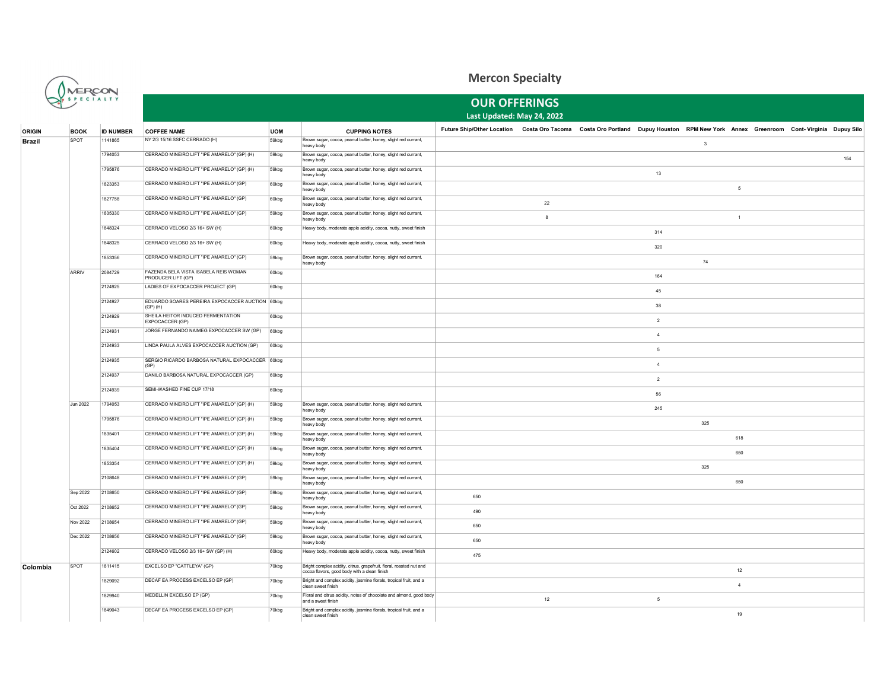

## Mercon Specialty

| $Q$ $\leftarrow$ $S$ $P$ $E$ $C$ $T$ $A$ $L$ $T$ $Y$ |                 |                  | <b>OUR OFFERINGS</b>                                        |            |                                                                                                                     |                                                                                                                                    |            |  |                 |              |                |  |     |  |
|------------------------------------------------------|-----------------|------------------|-------------------------------------------------------------|------------|---------------------------------------------------------------------------------------------------------------------|------------------------------------------------------------------------------------------------------------------------------------|------------|--|-----------------|--------------|----------------|--|-----|--|
|                                                      |                 |                  | Last Updated: May 24, 2022                                  |            |                                                                                                                     |                                                                                                                                    |            |  |                 |              |                |  |     |  |
| <b>ORIGIN</b>                                        | <b>BOOK</b>     | <b>ID NUMBER</b> | <b>COFFEE NAME</b>                                          | <b>UOM</b> | <b>CUPPING NOTES</b>                                                                                                | Future Ship/Other Location Costa Oro Tacoma Costa Oro Portland Dupuy Houston RPM New York Annex Greenroom Cont-Virginia Dupuy Silo |            |  |                 |              |                |  |     |  |
| <b>Brazil</b>                                        | SPOT            | 1141865          | NY 2/3 15/16 SSFC CERRADO (H)                               | 59kbg      | Brown sugar, cocoa, peanut butter, honey, slight red currant,<br>heavy body                                         |                                                                                                                                    |            |  |                 | $\mathbf{3}$ |                |  |     |  |
|                                                      |                 | 1794053          | CERRADO MINEIRO LIFT "IPE AMARELO" (GP) (H)                 | 59kbg      | Brown sugar, cocoa, peanut butter, honey, slight red currant,<br>heavy body                                         |                                                                                                                                    |            |  |                 |              |                |  | 154 |  |
|                                                      |                 | 1795876          | CERRADO MINEIRO LIFT "IPE AMARELO" (GP) (H)                 | 59kbg      | Brown sugar, cocoa, peanut butter, honey, slight red currant,<br>heavy body                                         |                                                                                                                                    |            |  | 13              |              |                |  |     |  |
|                                                      |                 | 1823353          | CERRADO MINEIRO LIFT "IPE AMARELO" (GP)                     | 60kbg      | Brown sugar, cocoa, peanut butter, honey, slight red currant,<br>heavy body                                         |                                                                                                                                    |            |  |                 |              | 5              |  |     |  |
|                                                      |                 | 1827758          | CERRADO MINEIRO LIFT "IPE AMARELO" (GP)                     | 60kbg      | Brown sugar, cocoa, peanut butter, honey, slight red currant,<br>heavy body                                         |                                                                                                                                    | ${\bf 22}$ |  |                 |              |                |  |     |  |
|                                                      |                 | 1835330          | CERRADO MINEIRO LIFT "IPE AMARELO" (GP)                     | 59kbg      | Brown sugar, cocoa, peanut butter, honey, slight red currant,<br>heavy body                                         |                                                                                                                                    | 8          |  |                 |              | $\overline{1}$ |  |     |  |
|                                                      |                 | 1848324          | CERRADO VELOSO 2/3 16+ SW (H)                               | 60kbg      | Heavy body, moderate apple acidity, cocoa, nutty, sweet finish                                                      |                                                                                                                                    |            |  | 314             |              |                |  |     |  |
|                                                      |                 | 1848325          | CERRADO VELOSO 2/3 16+ SW (H)                               | 60kbg      | Heavy body, moderate apple acidity, cocoa, nutty, sweet finish                                                      |                                                                                                                                    |            |  | 320             |              |                |  |     |  |
|                                                      |                 | 1853356          | CERRADO MINEIRO LIFT "IPE AMARELO" (GP)                     | 59kbg      | Brown sugar, cocoa, peanut butter, honey, slight red currant,<br>heavy body                                         |                                                                                                                                    |            |  |                 | 74           |                |  |     |  |
|                                                      | <b>ARRIV</b>    | 2084729          | FAZENDA BELA VISTA ISABELA REIS WOMAN<br>PRODUCER LIFT (GP) | 60kbg      |                                                                                                                     |                                                                                                                                    |            |  | 164             |              |                |  |     |  |
|                                                      |                 | 2124925          | LADIES OF EXPOCACCER PROJECT (GP)                           | 60kbg      |                                                                                                                     |                                                                                                                                    |            |  | 45              |              |                |  |     |  |
|                                                      |                 | 2124927          | EDUARDO SOARES PEREIRA EXPOCACCER AUCTION 60kbg<br>(GP)(H)  |            |                                                                                                                     |                                                                                                                                    |            |  | 38              |              |                |  |     |  |
|                                                      |                 | 2124929          | SHEILA HEITOR INDUCED FERMENTATION<br>EXPOCACCER (GP)       | 60kbg      |                                                                                                                     |                                                                                                                                    |            |  | $\overline{2}$  |              |                |  |     |  |
|                                                      |                 | 2124931          | JORGE FERNANDO NAIMEG EXPOCACCER SW (GP)                    | 60kbg      |                                                                                                                     |                                                                                                                                    |            |  | $\overline{4}$  |              |                |  |     |  |
|                                                      |                 | 2124933          | LINDA PAULA ALVES EXPOCACCER AUCTION (GP)                   | 60kbg      |                                                                                                                     |                                                                                                                                    |            |  | 5               |              |                |  |     |  |
|                                                      |                 | 2124935          | SERGIO RICARDO BARBOSA NATURAL EXPOCACCER 60kbg<br>(GP)     |            |                                                                                                                     |                                                                                                                                    |            |  | $\overline{4}$  |              |                |  |     |  |
|                                                      |                 | 2124937          | DANILO BARBOSA NATURAL EXPOCACCER (GP)                      | 60kbg      |                                                                                                                     |                                                                                                                                    |            |  | $\overline{2}$  |              |                |  |     |  |
|                                                      |                 | 2124939          | SEMI-WASHED FINE CUP 17/18                                  | 60kbg      |                                                                                                                     |                                                                                                                                    |            |  | 56              |              |                |  |     |  |
|                                                      | <b>Jun 2022</b> | 1794053          | CERRADO MINEIRO LIFT "IPE AMARELO" (GP) (H)                 | 59kbg      | Brown sugar, cocoa, peanut butter, honey, slight red currant,<br>heavy body                                         |                                                                                                                                    |            |  | 245             |              |                |  |     |  |
|                                                      |                 | 1795876          | CERRADO MINEIRO LIFT "IPE AMARELO" (GP) (H)                 | 59kbg      | Brown sugar, cocoa, peanut butter, honey, slight red currant,<br>heavy body                                         |                                                                                                                                    |            |  |                 | 325          |                |  |     |  |
|                                                      |                 | 1835401          | CERRADO MINEIRO LIFT "IPE AMARELO" (GP) (H)                 | 59kbg      | Brown sugar, cocoa, peanut butter, honey, slight red currant,<br>heavy body                                         |                                                                                                                                    |            |  |                 |              | 618            |  |     |  |
|                                                      |                 | 1835404          | CERRADO MINEIRO LIFT "IPE AMARELO" (GP) (H)                 | 59kbg      | Brown sugar, cocoa, peanut butter, honey, slight red currant,<br>heavy body                                         |                                                                                                                                    |            |  |                 |              | 650            |  |     |  |
|                                                      |                 | 1853354          | CERRADO MINEIRO LIFT "IPE AMARELO" (GP) (H)                 | 59kbg      | Brown sugar, cocoa, peanut butter, honey, slight red currant,<br>heavy body                                         |                                                                                                                                    |            |  |                 | 325          |                |  |     |  |
|                                                      |                 | 2108648          | CERRADO MINEIRO LIFT "IPE AMARELO" (GP)                     | 59kbg      | Brown sugar, cocoa, peanut butter, honey, slight red currant,<br>heavy body                                         |                                                                                                                                    |            |  |                 |              | 650            |  |     |  |
|                                                      | Sep 2022        | 2108650          | CERRADO MINEIRO LIFT "IPE AMARELO" (GP)                     | 59kbg      | Brown sugar, cocoa, peanut butter, honey, slight red currant,<br>heavy body                                         | 650                                                                                                                                |            |  |                 |              |                |  |     |  |
|                                                      | Oct 2022        | 2108652          | CERRADO MINEIRO LIFT "IPE AMARELO" (GP)                     | 59kbg      | Brown sugar, cocoa, peanut butter, honey, slight red currant,<br>heavy body                                         | 490                                                                                                                                |            |  |                 |              |                |  |     |  |
|                                                      | Nov 2022        | 2108654          | CERRADO MINEIRO LIFT "IPE AMARELO" (GP)                     | 59kbg      | Brown sugar, cocoa, peanut butter, honey, slight red currant,<br>heavy body                                         | 650                                                                                                                                |            |  |                 |              |                |  |     |  |
|                                                      | Dec 2022        | 2108656          | CERRADO MINEIRO LIFT "IPE AMARELO" (GP)                     | 59kbg      | Brown sugar, cocoa, peanut butter, honey, slight red currant,<br>heavy body                                         | 650                                                                                                                                |            |  |                 |              |                |  |     |  |
|                                                      |                 | 2124602          | CERRADO VELOSO 2/3 16+ SW (GP) (H)                          | 60kbg      | Heavy body, moderate apple acidity, cocoa, nutty, sweet finish                                                      | 475                                                                                                                                |            |  |                 |              |                |  |     |  |
| Colombia                                             | SPOT            | 1811415          | EXCELSO EP "CATTLEYA" (GP)                                  | 70kbg      | Bright complex acidity, citrus, grapefruit, floral, roasted nut and<br>cocoa flavors, good body with a clean finish |                                                                                                                                    |            |  |                 |              | 12             |  |     |  |
|                                                      |                 | 1829092          | DECAF EA PROCESS EXCELSO EP (GP)                            | 70kbg      | Bright and complex acidity, jasmine florals, tropical fruit, and a<br>clean sweet finish                            |                                                                                                                                    |            |  |                 |              | $\overline{4}$ |  |     |  |
|                                                      |                 | 1829940          | MEDELLIN EXCELSO EP (GP)                                    | 70kbg      | Floral and citrus acidity, notes of chocolate and almond, good body<br>and a sweet finish                           |                                                                                                                                    | 12         |  | $5\phantom{.0}$ |              |                |  |     |  |
|                                                      |                 | 1849043          | DECAF EA PROCESS EXCELSO EP (GP)                            | 70kbg      | Bright and complex acidity, jasmine florals, tropical fruit, and a<br>clean sweet finish                            |                                                                                                                                    |            |  |                 |              | 19             |  |     |  |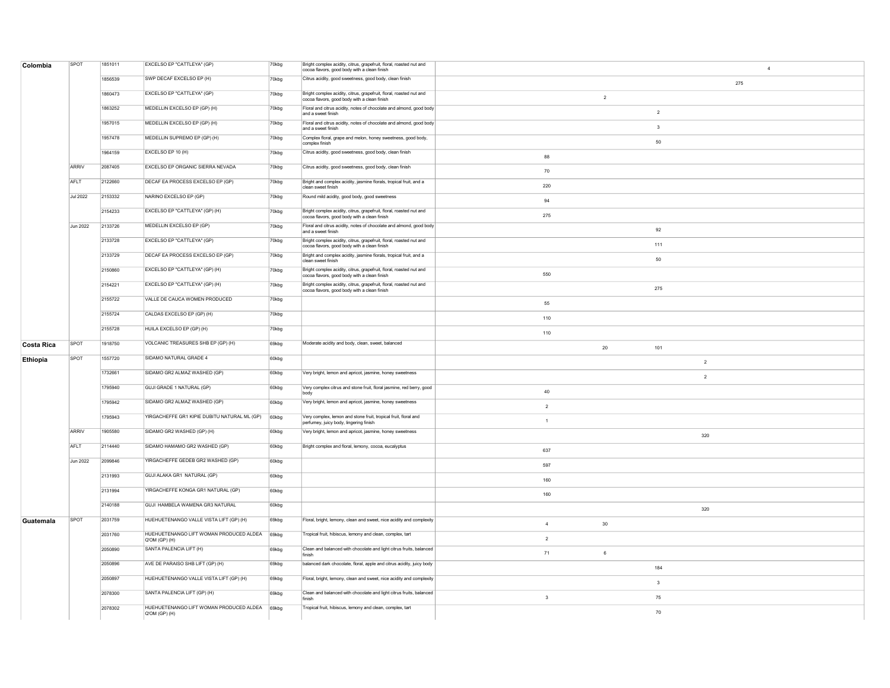| Colombia          | SPOT            | 1851011 | EXCELSO EP "CATTLEYA" (GP)                               | 70kbg    | Bright complex acidity, citrus, grapefruit, floral, roasted nut and<br>cocoa flavors, good body with a clean finish | $\overline{4}$                |
|-------------------|-----------------|---------|----------------------------------------------------------|----------|---------------------------------------------------------------------------------------------------------------------|-------------------------------|
|                   |                 | 1856539 | SWP DECAF EXCELSO EP (H)                                 | 70kbg    | Citrus acidity, good sweetness, good body, clean finish                                                             | 275                           |
|                   |                 | 1860473 | EXCELSO EP "CATTLEYA" (GP)                               | $70k$ bg | Bright complex acidity, citrus, grapefruit, floral, roasted nut and<br>cocoa flavors, good body with a clean finish | $\overline{2}$                |
|                   |                 | 1863252 | MEDELLIN EXCELSO EP (GP) (H)                             | 70kbg    | Floral and citrus acidity, notes of chocolate and almond, good body<br>and a sweet finish                           | $\overline{2}$                |
|                   |                 | 1957015 | MEDELLIN EXCELSO EP (GP) (H)                             | 70kbg    | Floral and citrus acidity, notes of chocolate and almond, good body<br>and a sweet finish                           | $\mathbf{3}$                  |
|                   |                 | 1957478 | MEDELLIN SUPREMO EP (GP) (H)                             | 70kbg    | Complex floral, grape and melon, honey sweetness, good body,<br>complex finish                                      | 50                            |
|                   |                 | 1964159 | EXCELSO EP 10 (H)                                        | 70kbg    | Citrus acidity, good sweetness, good body, clean finish                                                             | 88                            |
|                   | <b>ARRIV</b>    | 2087405 | EXCELSO EP ORGANIC SIERRA NEVADA                         | 70kbg    | Citrus acidity, good sweetness, good body, clean finish                                                             | 70                            |
|                   | AFLT            | 2122660 | DECAF EA PROCESS EXCELSO EP (GP)                         | 70kbg    | Bright and complex acidity, jasmine florals, tropical fruit, and a<br>clean sweet finish                            | 220                           |
|                   | <b>Jul 2022</b> | 2153332 | NARINO EXCELSO EP (GP)                                   | 70kbg    | Round mild acidity, good body, good sweetness                                                                       | $94\,$                        |
|                   |                 | 2154233 | EXCELSO EP "CATTLEYA" (GP) (H)                           | 70kbg    | Bright complex acidity, citrus, grapefruit, floral, roasted nut and<br>cocoa flavors, good body with a clean finish | 275                           |
|                   | <b>Jun 2022</b> | 2133726 | MEDELLIN EXCELSO EP (GP)                                 | 70kbg    | Floral and citrus acidity, notes of chocolate and almond, good body<br>and a sweet finish                           | 92                            |
|                   |                 | 2133728 | EXCELSO EP "CATTLEYA" (GP)                               | 70kbg    | Bright complex acidity, citrus, grapefruit, floral, roasted nut and<br>cocoa flavors, good body with a clean finish | 111                           |
|                   |                 | 2133729 | DECAF EA PROCESS EXCELSO EP (GP)                         | 70kbg    | Bright and complex acidity, jasmine florals, tropical fruit, and a<br>clean sweet finish                            | 50                            |
|                   |                 | 2150860 | EXCELSO EP "CATTLEYA" (GP) (H)                           | 70kbg    | Bright complex acidity, citrus, grapefruit, floral, roasted nut and<br>cocoa flavors, good body with a clean finish | 550                           |
|                   |                 | 2154221 | EXCELSO EP "CATTLEYA" (GP) (H)                           | 70kbg    | Bright complex acidity, citrus, grapefruit, floral, roasted nut and<br>cocoa flavors, good body with a clean finish | 275                           |
|                   |                 | 2155722 | VALLE DE CAUCA WOMEN PRODUCED                            | 70kbg    |                                                                                                                     | 55                            |
|                   |                 | 2155724 | CALDAS EXCELSO EP (GP) (H)                               | 70kbg    |                                                                                                                     | 110                           |
|                   |                 | 2155728 | HUILA EXCELSO EP (GP) (H)                                | 70kbg    |                                                                                                                     | 110                           |
| <b>Costa Rica</b> | SPOT            | 1918750 | VOLCANIC TREASURES SHB EP (GP) (H)                       | 69kbg    | Moderate acidity and body, clean, sweet, balanced                                                                   | $20\degree$<br>101            |
| Ethiopia          | SPOT            | 1557720 | SIDAMO NATURAL GRADE 4                                   | 60kbg    |                                                                                                                     | $\overline{2}$                |
|                   |                 | 1732661 | SIDAMO GR2 ALMAZ WASHED (GP)                             | 60kbg    | Very bright, lemon and apricot, jasmine, honey sweetness                                                            | $\overline{2}$                |
|                   |                 | 1795940 | GUJI GRADE 1 NATURAL (GP)                                | 60kbg    | Very complex citrus and stone fruit, floral jasmine, red berry, good<br>body                                        | 40                            |
|                   |                 | 1795942 | SIDAMO GR2 ALMAZ WASHED (GP)                             | 60kbg    | Very bright, lemon and apricot, jasmine, honey sweetness                                                            | $\overline{2}$                |
|                   |                 | 1795943 | YIRGACHEFFE GR1 KIPIE DUBITU NATURAL ML (GP)             | $60k$ bg | Very complex, lemon and stone fruit, tropical fruit, floral and<br>perfumey, juicy body, lingering finish           | $\overline{1}$                |
|                   | <b>ARRIV</b>    | 1905580 | SIDAMO GR2 WASHED (GP) (H)                               | 60kbg    | Very bright, lemon and apricot, jasmine, honey sweetness                                                            | 320                           |
|                   | AFLT            | 2114440 | SIDAMO HAMAMO GR2 WASHED (GP)                            | 60kbg    | Bright complex and floral, lemony, cocoa, eucalyptus                                                                | 637                           |
|                   | <b>Jun 2022</b> | 2099846 | YIRGACHEFFE GEDEB GR2 WASHED (GP)                        | 60kbg    |                                                                                                                     | 597                           |
|                   |                 | 2131993 | GUJI ALAKA GR1 NATURAL (GP)                              | 60kbg    |                                                                                                                     | 160                           |
|                   |                 | 2131994 | YIRGACHEFFE KONGA GR1 NATURAL (GP)                       | 60kbg    |                                                                                                                     | 160                           |
|                   |                 | 2140188 | GUJI HAMBELA WAMENA GR3 NATURAL                          | 60kbg    |                                                                                                                     | 320                           |
| Guatemala         | SPOT            | 2031759 | HUEHUETENANGO VALLE VISTA LIFT (GP) (H)                  | 69kbg    | Floral, bright, lemony, clean and sweet, nice acidity and complexity                                                | 30<br>$\overline{4}$          |
|                   |                 | 2031760 | HUEHUETENANGO LIFT WOMAN PRODUCED ALDEA<br>Q'OM (GP) (H) | 69kbg    | Tropical fruit, hibiscus, lemony and clean, complex, tart                                                           | $\overline{2}$                |
|                   |                 | 2050890 | SANTA PALENCIA LIFT (H)                                  | 69kbg    | Clean and balanced with chocolate and light citrus fruits, balanced<br>finish                                       | 71<br>6                       |
|                   |                 | 2050896 | AVE DE PARAISO SHB LIFT (GP) (H)                         | 69kbg    | balanced dark chocolate, floral, apple and citrus acidity, juicy body                                               | 184                           |
|                   |                 | 2050897 | HUEHUETENANGO VALLE VISTA LIFT (GP) (H)                  | 69kbg    | Floral, bright, lemony, clean and sweet, nice acidity and complexity                                                | $\mathbf{3}$                  |
|                   |                 | 2078300 | SANTA PALENCIA LIFT (GP) (H)                             | 69kbg    | Clean and balanced with chocolate and light citrus fruits, balanced                                                 | $\overline{\mathbf{3}}$<br>75 |
|                   |                 | 2078302 | HUEHUETENANGO LIFT WOMAN PRODUCED ALDEA<br>Q'OM (GP) (H) | 69kbg    | Tropical fruit, hibiscus, lemony and clean, complex, tart                                                           | 70                            |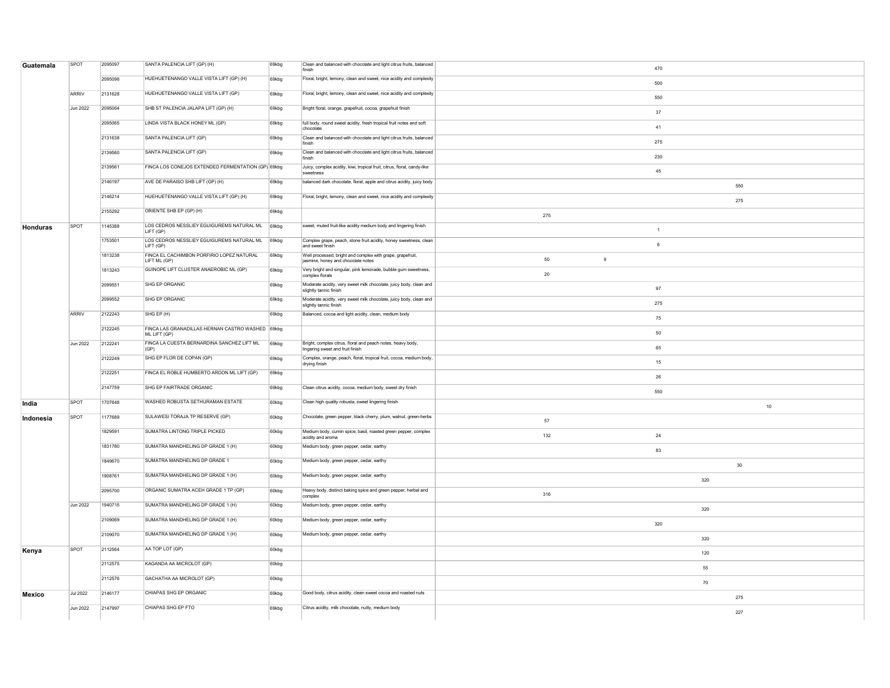| ARRIV<br>Jun 2022 | 2095098<br>2131628<br>2095064 | HUEHUETENANGO VALLE VISTA LIFT (GP) (H)<br>HUEHUETENANGO VALLE VISTA LIFT (GP)                                                                                    | 69kbg                                                                                                                                                                                                                                                                                                                                                                                                                                                                                                                                                                      | Floral, bright, lemony, clean and sweet, nice acidity and complexity                                                                                                                                                                                                                                | 500                                                                                                                                                                                                                                                                                                                                                                                                                                                                                                                                                                                                                                                                                                                                                                                                                                                                                                                                                                                                                                                                                                                                                                                                                                                                                                                                                                                                                                                                                                                                                                                                                                                                                                                                                                                            |
|-------------------|-------------------------------|-------------------------------------------------------------------------------------------------------------------------------------------------------------------|----------------------------------------------------------------------------------------------------------------------------------------------------------------------------------------------------------------------------------------------------------------------------------------------------------------------------------------------------------------------------------------------------------------------------------------------------------------------------------------------------------------------------------------------------------------------------|-----------------------------------------------------------------------------------------------------------------------------------------------------------------------------------------------------------------------------------------------------------------------------------------------------|------------------------------------------------------------------------------------------------------------------------------------------------------------------------------------------------------------------------------------------------------------------------------------------------------------------------------------------------------------------------------------------------------------------------------------------------------------------------------------------------------------------------------------------------------------------------------------------------------------------------------------------------------------------------------------------------------------------------------------------------------------------------------------------------------------------------------------------------------------------------------------------------------------------------------------------------------------------------------------------------------------------------------------------------------------------------------------------------------------------------------------------------------------------------------------------------------------------------------------------------------------------------------------------------------------------------------------------------------------------------------------------------------------------------------------------------------------------------------------------------------------------------------------------------------------------------------------------------------------------------------------------------------------------------------------------------------------------------------------------------------------------------------------------------|
|                   |                               |                                                                                                                                                                   |                                                                                                                                                                                                                                                                                                                                                                                                                                                                                                                                                                            |                                                                                                                                                                                                                                                                                                     |                                                                                                                                                                                                                                                                                                                                                                                                                                                                                                                                                                                                                                                                                                                                                                                                                                                                                                                                                                                                                                                                                                                                                                                                                                                                                                                                                                                                                                                                                                                                                                                                                                                                                                                                                                                                |
|                   |                               |                                                                                                                                                                   | 69kbg                                                                                                                                                                                                                                                                                                                                                                                                                                                                                                                                                                      | Floral, bright, lemony, clean and sweet, nice acidity and complexity                                                                                                                                                                                                                                | 550                                                                                                                                                                                                                                                                                                                                                                                                                                                                                                                                                                                                                                                                                                                                                                                                                                                                                                                                                                                                                                                                                                                                                                                                                                                                                                                                                                                                                                                                                                                                                                                                                                                                                                                                                                                            |
|                   |                               | SHB ST PALENCIA JALAPA LIFT (GP) (H)                                                                                                                              | 69kbg                                                                                                                                                                                                                                                                                                                                                                                                                                                                                                                                                                      | Bright floral, orange, grapefruit, cocoa, grapefruit finish                                                                                                                                                                                                                                         |                                                                                                                                                                                                                                                                                                                                                                                                                                                                                                                                                                                                                                                                                                                                                                                                                                                                                                                                                                                                                                                                                                                                                                                                                                                                                                                                                                                                                                                                                                                                                                                                                                                                                                                                                                                                |
|                   | 2095065                       | LINDA VISTA BLACK HONEY ML (GP)                                                                                                                                   |                                                                                                                                                                                                                                                                                                                                                                                                                                                                                                                                                                            |                                                                                                                                                                                                                                                                                                     | 37                                                                                                                                                                                                                                                                                                                                                                                                                                                                                                                                                                                                                                                                                                                                                                                                                                                                                                                                                                                                                                                                                                                                                                                                                                                                                                                                                                                                                                                                                                                                                                                                                                                                                                                                                                                             |
|                   |                               |                                                                                                                                                                   | 69kbg                                                                                                                                                                                                                                                                                                                                                                                                                                                                                                                                                                      | full body, round sweet acidity, fresh tropical fruit notes and soft<br>chocolate                                                                                                                                                                                                                    | 41                                                                                                                                                                                                                                                                                                                                                                                                                                                                                                                                                                                                                                                                                                                                                                                                                                                                                                                                                                                                                                                                                                                                                                                                                                                                                                                                                                                                                                                                                                                                                                                                                                                                                                                                                                                             |
|                   | 2131638                       | SANTA PALENCIA LIFT (GP)                                                                                                                                          | 69kbg                                                                                                                                                                                                                                                                                                                                                                                                                                                                                                                                                                      | Clean and balanced with chocolate and light citrus fruits, balanced<br>finish                                                                                                                                                                                                                       | 275                                                                                                                                                                                                                                                                                                                                                                                                                                                                                                                                                                                                                                                                                                                                                                                                                                                                                                                                                                                                                                                                                                                                                                                                                                                                                                                                                                                                                                                                                                                                                                                                                                                                                                                                                                                            |
|                   | 2139560                       | SANTA PALENCIA LIFT (GP)                                                                                                                                          | 69kbg                                                                                                                                                                                                                                                                                                                                                                                                                                                                                                                                                                      | Clean and balanced with chocolate and light citrus fruits, balanced<br>finish                                                                                                                                                                                                                       | 230                                                                                                                                                                                                                                                                                                                                                                                                                                                                                                                                                                                                                                                                                                                                                                                                                                                                                                                                                                                                                                                                                                                                                                                                                                                                                                                                                                                                                                                                                                                                                                                                                                                                                                                                                                                            |
|                   |                               |                                                                                                                                                                   |                                                                                                                                                                                                                                                                                                                                                                                                                                                                                                                                                                            | sweetness                                                                                                                                                                                                                                                                                           | 45                                                                                                                                                                                                                                                                                                                                                                                                                                                                                                                                                                                                                                                                                                                                                                                                                                                                                                                                                                                                                                                                                                                                                                                                                                                                                                                                                                                                                                                                                                                                                                                                                                                                                                                                                                                             |
|                   |                               | AVE DE PARAISO SHB LIFT (GP) (H)                                                                                                                                  |                                                                                                                                                                                                                                                                                                                                                                                                                                                                                                                                                                            |                                                                                                                                                                                                                                                                                                     | 550                                                                                                                                                                                                                                                                                                                                                                                                                                                                                                                                                                                                                                                                                                                                                                                                                                                                                                                                                                                                                                                                                                                                                                                                                                                                                                                                                                                                                                                                                                                                                                                                                                                                                                                                                                                            |
|                   | 2146214                       | HUEHUETENANGO VALLE VISTA LIFT (GP) (H)                                                                                                                           | 69kbg                                                                                                                                                                                                                                                                                                                                                                                                                                                                                                                                                                      |                                                                                                                                                                                                                                                                                                     | 275                                                                                                                                                                                                                                                                                                                                                                                                                                                                                                                                                                                                                                                                                                                                                                                                                                                                                                                                                                                                                                                                                                                                                                                                                                                                                                                                                                                                                                                                                                                                                                                                                                                                                                                                                                                            |
|                   | 2155292                       |                                                                                                                                                                   |                                                                                                                                                                                                                                                                                                                                                                                                                                                                                                                                                                            |                                                                                                                                                                                                                                                                                                     | 275                                                                                                                                                                                                                                                                                                                                                                                                                                                                                                                                                                                                                                                                                                                                                                                                                                                                                                                                                                                                                                                                                                                                                                                                                                                                                                                                                                                                                                                                                                                                                                                                                                                                                                                                                                                            |
| SPOT              | 1145388                       |                                                                                                                                                                   |                                                                                                                                                                                                                                                                                                                                                                                                                                                                                                                                                                            |                                                                                                                                                                                                                                                                                                     | $\overline{1}$                                                                                                                                                                                                                                                                                                                                                                                                                                                                                                                                                                                                                                                                                                                                                                                                                                                                                                                                                                                                                                                                                                                                                                                                                                                                                                                                                                                                                                                                                                                                                                                                                                                                                                                                                                                 |
|                   | 1753501                       |                                                                                                                                                                   |                                                                                                                                                                                                                                                                                                                                                                                                                                                                                                                                                                            |                                                                                                                                                                                                                                                                                                     | 6                                                                                                                                                                                                                                                                                                                                                                                                                                                                                                                                                                                                                                                                                                                                                                                                                                                                                                                                                                                                                                                                                                                                                                                                                                                                                                                                                                                                                                                                                                                                                                                                                                                                                                                                                                                              |
|                   | 1813238                       | FINCA EL CACHIMBON PORFIRIO LOPEZ NATURAL                                                                                                                         |                                                                                                                                                                                                                                                                                                                                                                                                                                                                                                                                                                            |                                                                                                                                                                                                                                                                                                     | 50<br>$9\,$                                                                                                                                                                                                                                                                                                                                                                                                                                                                                                                                                                                                                                                                                                                                                                                                                                                                                                                                                                                                                                                                                                                                                                                                                                                                                                                                                                                                                                                                                                                                                                                                                                                                                                                                                                                    |
|                   | 1813243                       | GUINOPE LIFT CLUSTER ANAEROBIC ML (GP)                                                                                                                            | 69kbg                                                                                                                                                                                                                                                                                                                                                                                                                                                                                                                                                                      |                                                                                                                                                                                                                                                                                                     | 20                                                                                                                                                                                                                                                                                                                                                                                                                                                                                                                                                                                                                                                                                                                                                                                                                                                                                                                                                                                                                                                                                                                                                                                                                                                                                                                                                                                                                                                                                                                                                                                                                                                                                                                                                                                             |
|                   | 2099551                       |                                                                                                                                                                   | 69kbg                                                                                                                                                                                                                                                                                                                                                                                                                                                                                                                                                                      |                                                                                                                                                                                                                                                                                                     | 97                                                                                                                                                                                                                                                                                                                                                                                                                                                                                                                                                                                                                                                                                                                                                                                                                                                                                                                                                                                                                                                                                                                                                                                                                                                                                                                                                                                                                                                                                                                                                                                                                                                                                                                                                                                             |
|                   | 2099552                       | SHG EP ORGANIC                                                                                                                                                    | 69kbg                                                                                                                                                                                                                                                                                                                                                                                                                                                                                                                                                                      |                                                                                                                                                                                                                                                                                                     | 275                                                                                                                                                                                                                                                                                                                                                                                                                                                                                                                                                                                                                                                                                                                                                                                                                                                                                                                                                                                                                                                                                                                                                                                                                                                                                                                                                                                                                                                                                                                                                                                                                                                                                                                                                                                            |
| ARRIV             |                               |                                                                                                                                                                   |                                                                                                                                                                                                                                                                                                                                                                                                                                                                                                                                                                            |                                                                                                                                                                                                                                                                                                     |                                                                                                                                                                                                                                                                                                                                                                                                                                                                                                                                                                                                                                                                                                                                                                                                                                                                                                                                                                                                                                                                                                                                                                                                                                                                                                                                                                                                                                                                                                                                                                                                                                                                                                                                                                                                |
|                   |                               |                                                                                                                                                                   |                                                                                                                                                                                                                                                                                                                                                                                                                                                                                                                                                                            |                                                                                                                                                                                                                                                                                                     | 75                                                                                                                                                                                                                                                                                                                                                                                                                                                                                                                                                                                                                                                                                                                                                                                                                                                                                                                                                                                                                                                                                                                                                                                                                                                                                                                                                                                                                                                                                                                                                                                                                                                                                                                                                                                             |
|                   |                               |                                                                                                                                                                   |                                                                                                                                                                                                                                                                                                                                                                                                                                                                                                                                                                            |                                                                                                                                                                                                                                                                                                     | 50                                                                                                                                                                                                                                                                                                                                                                                                                                                                                                                                                                                                                                                                                                                                                                                                                                                                                                                                                                                                                                                                                                                                                                                                                                                                                                                                                                                                                                                                                                                                                                                                                                                                                                                                                                                             |
|                   |                               |                                                                                                                                                                   |                                                                                                                                                                                                                                                                                                                                                                                                                                                                                                                                                                            |                                                                                                                                                                                                                                                                                                     | 65                                                                                                                                                                                                                                                                                                                                                                                                                                                                                                                                                                                                                                                                                                                                                                                                                                                                                                                                                                                                                                                                                                                                                                                                                                                                                                                                                                                                                                                                                                                                                                                                                                                                                                                                                                                             |
|                   |                               |                                                                                                                                                                   |                                                                                                                                                                                                                                                                                                                                                                                                                                                                                                                                                                            |                                                                                                                                                                                                                                                                                                     | 15                                                                                                                                                                                                                                                                                                                                                                                                                                                                                                                                                                                                                                                                                                                                                                                                                                                                                                                                                                                                                                                                                                                                                                                                                                                                                                                                                                                                                                                                                                                                                                                                                                                                                                                                                                                             |
|                   |                               |                                                                                                                                                                   |                                                                                                                                                                                                                                                                                                                                                                                                                                                                                                                                                                            |                                                                                                                                                                                                                                                                                                     | 26                                                                                                                                                                                                                                                                                                                                                                                                                                                                                                                                                                                                                                                                                                                                                                                                                                                                                                                                                                                                                                                                                                                                                                                                                                                                                                                                                                                                                                                                                                                                                                                                                                                                                                                                                                                             |
|                   |                               |                                                                                                                                                                   |                                                                                                                                                                                                                                                                                                                                                                                                                                                                                                                                                                            |                                                                                                                                                                                                                                                                                                     | 550                                                                                                                                                                                                                                                                                                                                                                                                                                                                                                                                                                                                                                                                                                                                                                                                                                                                                                                                                                                                                                                                                                                                                                                                                                                                                                                                                                                                                                                                                                                                                                                                                                                                                                                                                                                            |
| SPOT              |                               |                                                                                                                                                                   |                                                                                                                                                                                                                                                                                                                                                                                                                                                                                                                                                                            |                                                                                                                                                                                                                                                                                                     | 10                                                                                                                                                                                                                                                                                                                                                                                                                                                                                                                                                                                                                                                                                                                                                                                                                                                                                                                                                                                                                                                                                                                                                                                                                                                                                                                                                                                                                                                                                                                                                                                                                                                                                                                                                                                             |
| SPOT              | 1177689                       | SULAWESI TORAJA TP RESERVE (GP)                                                                                                                                   | 60kbg                                                                                                                                                                                                                                                                                                                                                                                                                                                                                                                                                                      |                                                                                                                                                                                                                                                                                                     | 57                                                                                                                                                                                                                                                                                                                                                                                                                                                                                                                                                                                                                                                                                                                                                                                                                                                                                                                                                                                                                                                                                                                                                                                                                                                                                                                                                                                                                                                                                                                                                                                                                                                                                                                                                                                             |
|                   | 1829591                       | SUMATRA LINTONG TRIPLE PICKED                                                                                                                                     |                                                                                                                                                                                                                                                                                                                                                                                                                                                                                                                                                                            |                                                                                                                                                                                                                                                                                                     | 132<br>24                                                                                                                                                                                                                                                                                                                                                                                                                                                                                                                                                                                                                                                                                                                                                                                                                                                                                                                                                                                                                                                                                                                                                                                                                                                                                                                                                                                                                                                                                                                                                                                                                                                                                                                                                                                      |
|                   | 1831780                       | SUMATRA MANDHELING DP GRADE 1 (H)                                                                                                                                 |                                                                                                                                                                                                                                                                                                                                                                                                                                                                                                                                                                            |                                                                                                                                                                                                                                                                                                     | 83                                                                                                                                                                                                                                                                                                                                                                                                                                                                                                                                                                                                                                                                                                                                                                                                                                                                                                                                                                                                                                                                                                                                                                                                                                                                                                                                                                                                                                                                                                                                                                                                                                                                                                                                                                                             |
|                   | 1849670                       | SUMATRA MANDHELING DP GRADE 1                                                                                                                                     |                                                                                                                                                                                                                                                                                                                                                                                                                                                                                                                                                                            |                                                                                                                                                                                                                                                                                                     | 30                                                                                                                                                                                                                                                                                                                                                                                                                                                                                                                                                                                                                                                                                                                                                                                                                                                                                                                                                                                                                                                                                                                                                                                                                                                                                                                                                                                                                                                                                                                                                                                                                                                                                                                                                                                             |
|                   | 1908761                       | SUMATRA MANDHELING DP GRADE 1 (H)                                                                                                                                 |                                                                                                                                                                                                                                                                                                                                                                                                                                                                                                                                                                            |                                                                                                                                                                                                                                                                                                     | 320                                                                                                                                                                                                                                                                                                                                                                                                                                                                                                                                                                                                                                                                                                                                                                                                                                                                                                                                                                                                                                                                                                                                                                                                                                                                                                                                                                                                                                                                                                                                                                                                                                                                                                                                                                                            |
|                   | 2095700                       | ORGANIC SUMATRA ACEH GRADE 1 TP (GP)                                                                                                                              | 60kbg                                                                                                                                                                                                                                                                                                                                                                                                                                                                                                                                                                      |                                                                                                                                                                                                                                                                                                     | 316                                                                                                                                                                                                                                                                                                                                                                                                                                                                                                                                                                                                                                                                                                                                                                                                                                                                                                                                                                                                                                                                                                                                                                                                                                                                                                                                                                                                                                                                                                                                                                                                                                                                                                                                                                                            |
| Jun 2022          |                               |                                                                                                                                                                   |                                                                                                                                                                                                                                                                                                                                                                                                                                                                                                                                                                            |                                                                                                                                                                                                                                                                                                     |                                                                                                                                                                                                                                                                                                                                                                                                                                                                                                                                                                                                                                                                                                                                                                                                                                                                                                                                                                                                                                                                                                                                                                                                                                                                                                                                                                                                                                                                                                                                                                                                                                                                                                                                                                                                |
|                   | 2109069                       |                                                                                                                                                                   | 60kbg                                                                                                                                                                                                                                                                                                                                                                                                                                                                                                                                                                      |                                                                                                                                                                                                                                                                                                     | 320                                                                                                                                                                                                                                                                                                                                                                                                                                                                                                                                                                                                                                                                                                                                                                                                                                                                                                                                                                                                                                                                                                                                                                                                                                                                                                                                                                                                                                                                                                                                                                                                                                                                                                                                                                                            |
|                   |                               |                                                                                                                                                                   |                                                                                                                                                                                                                                                                                                                                                                                                                                                                                                                                                                            |                                                                                                                                                                                                                                                                                                     | 320                                                                                                                                                                                                                                                                                                                                                                                                                                                                                                                                                                                                                                                                                                                                                                                                                                                                                                                                                                                                                                                                                                                                                                                                                                                                                                                                                                                                                                                                                                                                                                                                                                                                                                                                                                                            |
|                   |                               |                                                                                                                                                                   |                                                                                                                                                                                                                                                                                                                                                                                                                                                                                                                                                                            |                                                                                                                                                                                                                                                                                                     | 320                                                                                                                                                                                                                                                                                                                                                                                                                                                                                                                                                                                                                                                                                                                                                                                                                                                                                                                                                                                                                                                                                                                                                                                                                                                                                                                                                                                                                                                                                                                                                                                                                                                                                                                                                                                            |
|                   |                               |                                                                                                                                                                   |                                                                                                                                                                                                                                                                                                                                                                                                                                                                                                                                                                            |                                                                                                                                                                                                                                                                                                     | 120                                                                                                                                                                                                                                                                                                                                                                                                                                                                                                                                                                                                                                                                                                                                                                                                                                                                                                                                                                                                                                                                                                                                                                                                                                                                                                                                                                                                                                                                                                                                                                                                                                                                                                                                                                                            |
|                   |                               |                                                                                                                                                                   |                                                                                                                                                                                                                                                                                                                                                                                                                                                                                                                                                                            |                                                                                                                                                                                                                                                                                                     | 55                                                                                                                                                                                                                                                                                                                                                                                                                                                                                                                                                                                                                                                                                                                                                                                                                                                                                                                                                                                                                                                                                                                                                                                                                                                                                                                                                                                                                                                                                                                                                                                                                                                                                                                                                                                             |
|                   |                               | GACHATHA AA MICROLOT (GP)                                                                                                                                         |                                                                                                                                                                                                                                                                                                                                                                                                                                                                                                                                                                            |                                                                                                                                                                                                                                                                                                     | 70                                                                                                                                                                                                                                                                                                                                                                                                                                                                                                                                                                                                                                                                                                                                                                                                                                                                                                                                                                                                                                                                                                                                                                                                                                                                                                                                                                                                                                                                                                                                                                                                                                                                                                                                                                                             |
| <b>Jul 2022</b>   | 2146177                       | CHIAPAS SHG EP ORGANIC                                                                                                                                            |                                                                                                                                                                                                                                                                                                                                                                                                                                                                                                                                                                            |                                                                                                                                                                                                                                                                                                     | 275                                                                                                                                                                                                                                                                                                                                                                                                                                                                                                                                                                                                                                                                                                                                                                                                                                                                                                                                                                                                                                                                                                                                                                                                                                                                                                                                                                                                                                                                                                                                                                                                                                                                                                                                                                                            |
| <b>Jun 2022</b>   |                               | CHIAPAS SHG EP FTO                                                                                                                                                | 69kbg                                                                                                                                                                                                                                                                                                                                                                                                                                                                                                                                                                      |                                                                                                                                                                                                                                                                                                     | 227                                                                                                                                                                                                                                                                                                                                                                                                                                                                                                                                                                                                                                                                                                                                                                                                                                                                                                                                                                                                                                                                                                                                                                                                                                                                                                                                                                                                                                                                                                                                                                                                                                                                                                                                                                                            |
|                   | Jun 2022<br>SPOT              | 2139561<br>2146197<br>2122243<br>2122245<br>2122241<br>2122249<br>2122251<br>2147759<br>1707648<br>1940715<br>2109070<br>2112564<br>2112575<br>2112576<br>2147997 | ORIENTE SHB EP (GP) (H)<br>LOS CEDROS NESSLIEY EGUIGUREMS NATURAL ML<br>LIFT (GP)<br>LOS CEDROS NESSLIEY EGUIGUREMS NATURAL ML<br>LIFT (GP)<br>LIFT ML (GP)<br>SHG EP ORGANIC<br>SHG EP (H)<br>ML LIFT (GP)<br>FINCA LA CUESTA BERNARDINA SANCHEZ LIFT ML<br>(GP)<br>SHG EP FLOR DE COPAN (GP)<br>FINCA EL ROBLE HUMBERTO ARDON ML LIFT (GP)<br>SHG EP FAIRTRADE ORGANIC<br>WASHED ROBUSTA SETHURAMAN ESTATE<br>SUMATRA MANDHELING DP GRADE 1 (H)<br>SUMATRA MANDHELING DP GRADE 1 (H)<br>SUMATRA MANDHELING DP GRADE 1 (H)<br>AA TOP LOT (GP)<br>KAGANDA AA MICROLOT (GP) | FINCA LOS CONEJOS EXTENDED FERMENTATION (GP) 69kbg<br>69kbg<br>69kbg<br>69kbg<br>69kba<br>69kbg<br>69kbg<br>FINCA LAS GRANADILLAS HERNAN CASTRO WASHED 69kbg<br>69kbg<br>69kbg<br>69kbg<br>69kbg<br>60kbg<br>60kbg<br>60kbg<br>60kbg<br>60kba<br>60kbg<br>60kbg<br>60kbg<br>60kbg<br>60kbg<br>69kbg | Juicy, complex acidity, kiwi, tropical fruit, citrus, floral, candy-like<br>balanced dark chocolate, floral, apple and citrus acidity, juicy body<br>Floral, bright, lemony, clean and sweet, nice acidity and complexity<br>sweet, muted fruit-like acidity medium body and lingering finish<br>Complex grape, peach, stone fruit acidity, honey sweetness, clean<br>and sweet finish<br>Well processed, bright and complex with grape, grapefruit,<br>jasmine, honey and chocolate notes<br>Very bright and singular, pink lemonade, bubble gum sweetness,<br>complex florals<br>Moderate acidity, very sweet milk chocolate, juicy body, clean and<br>slightly tannic finish<br>Moderate acidity, very sweet milk chocolate, juicy body, clean and<br>slightly tannic finish<br>Balanced, cocoa and light acidity, clean, medium body<br>Bright, complex citrus, floral and peach notes, heavy body,<br>lingering sweet and fruit finish<br>Complex, orange, peach, floral, tropical fruit, cocoa, medium body,<br>drying finish<br>Clean citrus acidity, cocoa, medium body, sweet dry finish<br>Clean high quality robusta, sweet lingering finish<br>Chocolate, green pepper, black cherry, plum, walnut, green-herbs<br>Medium body, cumin spice, basil, roasted green pepper, complex<br>acidity and aroma<br>Medium body, green pepper, cedar, earthy<br>Medium body, green pepper, cedar, earthy<br>Medium body, green pepper, cedar, earthy<br>Heavy body, distinct baking spice and green pepper, herbal and<br>complex<br>Medium body, green pepper, cedar, earthy<br>Medium body, green pepper, cedar, earthy<br>Medium body, green pepper, cedar, earthy<br>Good body, citrus acidity, clean sweet cocoa and roasted nuts<br>Citrus acidity, milk chocolate, nutty, medium body |